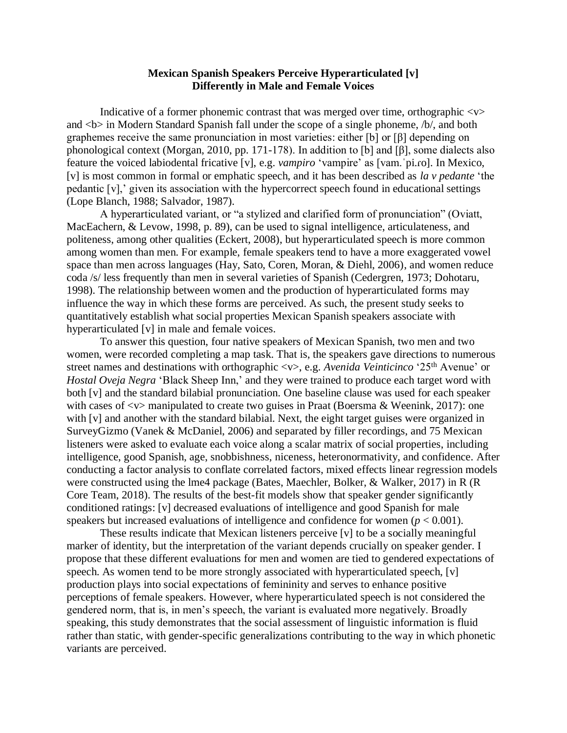## **Mexican Spanish Speakers Perceive Hyperarticulated [v] Differently in Male and Female Voices**

Indicative of a former phonemic contrast that was merged over time, orthographic  $\langle v \rangle$ and  **in Modern Standard Spanish fall under the scope of a single phoneme, /b/, and both** graphemes receive the same pronunciation in most varieties: either [b] or [β] depending on phonological context (Morgan, 2010, pp. 171-178). In addition to [b] and [β], some dialects also feature the voiced labiodental fricative [v], e.g. *vampiro* 'vampire' as [vam.ˈpi.ɾo]. In Mexico, [v] is most common in formal or emphatic speech, and it has been described as *la v pedante* 'the pedantic [v],' given its association with the hypercorrect speech found in educational settings (Lope Blanch, 1988; Salvador, 1987).

A hyperarticulated variant, or "a stylized and clarified form of pronunciation" (Oviatt, MacEachern, & Levow, 1998, p. 89), can be used to signal intelligence, articulateness, and politeness, among other qualities (Eckert, 2008), but hyperarticulated speech is more common among women than men. For example, female speakers tend to have a more exaggerated vowel space than men across languages (Hay, Sato, Coren, Moran, & Diehl, 2006), and women reduce coda /s/ less frequently than men in several varieties of Spanish (Cedergren, 1973; Dohotaru, 1998). The relationship between women and the production of hyperarticulated forms may influence the way in which these forms are perceived. As such, the present study seeks to quantitatively establish what social properties Mexican Spanish speakers associate with hyperarticulated [v] in male and female voices.

To answer this question, four native speakers of Mexican Spanish, two men and two women, were recorded completing a map task. That is, the speakers gave directions to numerous street names and destinations with orthographic <v>, e.g. *Avenida Veinticinco* '25th Avenue' or *Hostal Oveja Negra* 'Black Sheep Inn,' and they were trained to produce each target word with both [v] and the standard bilabial pronunciation. One baseline clause was used for each speaker with cases of  $\langle v \rangle$  manipulated to create two guises in Praat (Boersma & Weenink, 2017): one with [v] and another with the standard bilabial. Next, the eight target guises were organized in SurveyGizmo (Vanek & McDaniel, 2006) and separated by filler recordings, and 75 Mexican listeners were asked to evaluate each voice along a scalar matrix of social properties, including intelligence, good Spanish, age, snobbishness, niceness, heteronormativity, and confidence. After conducting a factor analysis to conflate correlated factors, mixed effects linear regression models were constructed using the lme4 package (Bates, Maechler, Bolker, & Walker, 2017) in R (R Core Team, 2018). The results of the best-fit models show that speaker gender significantly conditioned ratings: [v] decreased evaluations of intelligence and good Spanish for male speakers but increased evaluations of intelligence and confidence for women  $(p < 0.001)$ .

These results indicate that Mexican listeners perceive [v] to be a socially meaningful marker of identity, but the interpretation of the variant depends crucially on speaker gender. I propose that these different evaluations for men and women are tied to gendered expectations of speech. As women tend to be more strongly associated with hyperarticulated speech, [v] production plays into social expectations of femininity and serves to enhance positive perceptions of female speakers. However, where hyperarticulated speech is not considered the gendered norm, that is, in men's speech, the variant is evaluated more negatively. Broadly speaking, this study demonstrates that the social assessment of linguistic information is fluid rather than static, with gender-specific generalizations contributing to the way in which phonetic variants are perceived.